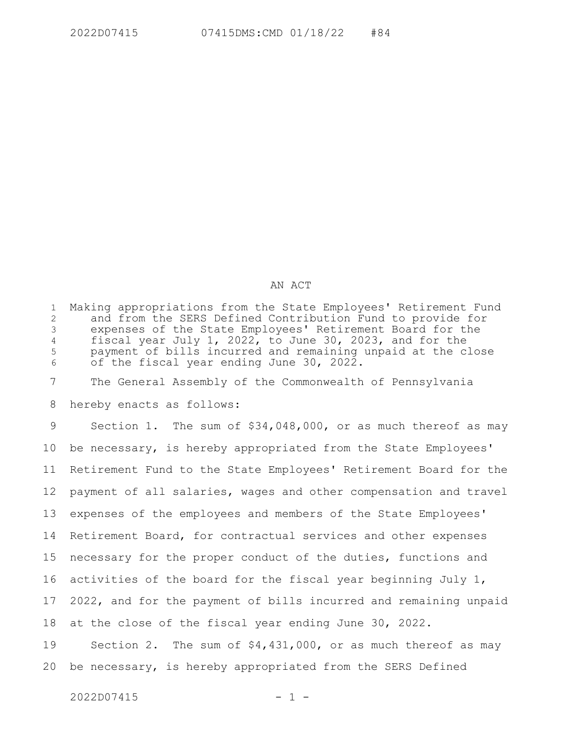## AN ACT

Making appropriations from the State Employees' Retirement Fund and from the SERS Defined Contribution Fund to provide for expenses of the State Employees' Retirement Board for the fiscal year July 1, 2022, to June 30, 2023, and for the payment of bills incurred and remaining unpaid at the close of the fiscal year ending June 30, 2022. 1 2 3 4 5 6

The General Assembly of the Commonwealth of Pennsylvania 7

hereby enacts as follows: 8

Section 1. The sum of \$34,048,000, or as much thereof as may be necessary, is hereby appropriated from the State Employees' Retirement Fund to the State Employees' Retirement Board for the payment of all salaries, wages and other compensation and travel expenses of the employees and members of the State Employees' Retirement Board, for contractual services and other expenses necessary for the proper conduct of the duties, functions and activities of the board for the fiscal year beginning July 1, 2022, and for the payment of bills incurred and remaining unpaid at the close of the fiscal year ending June 30, 2022. Section 2. The sum of \$4,431,000, or as much thereof as may 9 10 11 12 13 14 15 16 17 18 19

 $2022D07415$  - 1 -

20

be necessary, is hereby appropriated from the SERS Defined